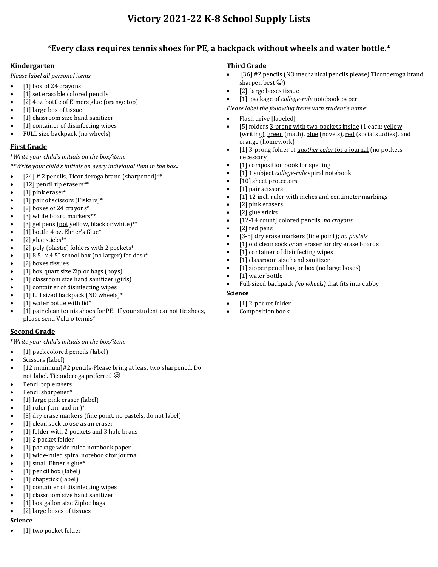# **Victory 2021-22 K-8 School Supply Lists**

# **\*Every class requires tennis shoes for PE, a backpack without wheels and water bottle.\***

## **Kindergarten**

*Please label all personal items.*

- [1] box of 24 crayons
- [1] set erasable colored pencils
- [2] 4oz. bottle of Elmers glue (orange top)
- [1] large box of tissue
- [1] classroom size hand sanitizer
- [1] container of disinfecting wipes
- FULL size backpack (no wheels)

## **First Grade**

\**Write your child's initials on the box/item.*

*\*\*Write your child's initials on every individual item in the box..*

- [24] # 2 pencils, Ticonderoga brand (sharpened)\*\*
- [12] pencil tip erasers\*\*
- [1] pink eraser\*
- [1] pair of scissors (Fiskars)\*
- [2] boxes of 24 crayons\*
- [3] white board markers\*\*
- [3] gel pens (not yellow, black or white)\*\*
- [1] bottle 4 oz. Elmer's Glue\*
- [2] glue sticks\*\*
- [2] poly (plastic) folders with 2 pockets\*
- [1]  $8.5$ " x  $4.5$ " school box (no larger) for desk\*
- [2] boxes tissues
- [1] box quart size Ziploc bags (boys)
- [1] classroom size hand sanitizer (girls)
- [1] container of disinfecting wipes
- [1] full sized backpack (NO wheels)\*
- [1] water bottle with lid\*
- [1] pair clean tennis shoes for PE. If your student cannot tie shoes, please send Velcro tennis\*

#### **Second Grade**

\**Write your child's initials on the box/item.*

- [1] pack colored pencils (label)
- Scissors (label)
- [12 minimum]#2 pencils-Please bring at least two sharpened. Do not label. Ticonderoga preferred  $\odot$
- Pencil top erasers
- Pencil sharpener\*
- [1] large pink eraser (label)
- $[1]$  ruler (cm. and in.)\*
- [3] dry erase markers (fine point, no pastels, do not label)
- [1] clean sock to use as an eraser
- [1] folder with 2 pockets and 3 hole brads
- [1] 2 pocket folder
- [1] package wide ruled notebook paper
- [1] wide-ruled spiral notebook for journal
- [1] small Elmer's glue\*
- [1] pencil box (label)
- [1] chapstick (label)
- [1] container of disinfecting wipes
- [1] classroom size hand sanitizer
- [1] box gallon size Ziploc bags
- [2] large boxes of tissues

## **Science**

[1] two pocket folder

#### **Third Grade**

- [36] #2 pencils (NO mechanical pencils please) Ticonderoga brand sharpen best  $\circledcirc$ )
- [2] large boxes tissue
- [1] package of *college-rule* notebook paper

*Please label the following items with student's name:*

- Flash drive [labeled]
- [5] folders 3-prong with two-pockets inside (1 each: yellow (writing), green (math), blue (novels), red (social studies), and orange (homework)
- [1] 3-prong folder of *another color* for a journal (no pockets necessary)
- [1] composition book for spelling
- [1] 1 subject *college-rule* spiral notebook
- [10] sheet protectors
- [1] pair scissors
- [1] 12 inch ruler with inches and centimeter markings
- [2] pink erasers
- [2] glue sticks
- [12-14 count] colored pencils; *no crayons*
- [2] red pens
- [3-5] dry erase markers (fine point); *no pastels*
- [1] old clean sock *or* an eraser for dry erase boards
- [1] container of disinfecting wipes
- [1] classroom size hand sanitizer
	- [1] zipper pencil bag or box (no large boxes)
	- [1] water bottle
	- Full-sized backpack *(no wheels)* that fits into cubby

#### **Science**

- [1] 2-pocket folder
- Composition book